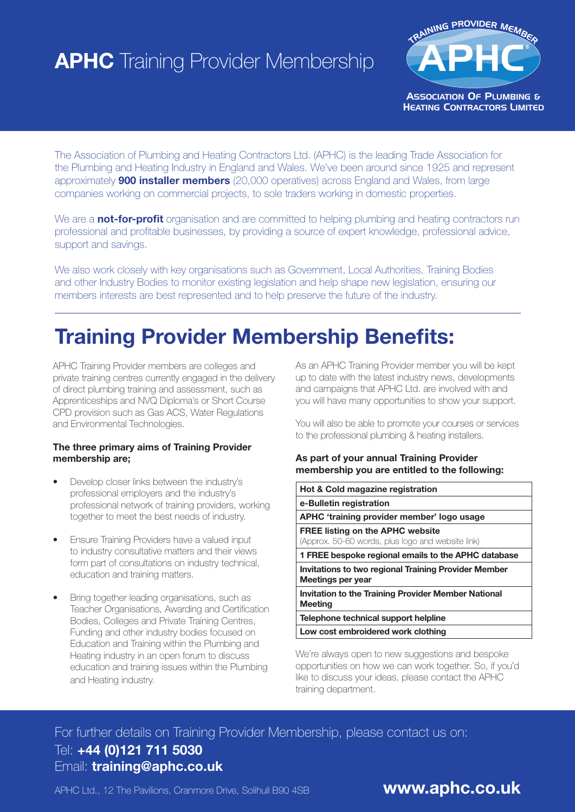# **APHC** Training Provider Membership



The Association of Plumbing and Heating Contractors Ltd. (APHC) is the leading Trade Association for the Plumbing and Heating Industry in England and Wales. We've been around since 1925 and represent approximately **900 installer members** (20,000 operatives) across England and Wales, from large companies working on commercial projects, to sole traders working in domestic properties.

We are a not-for-profit organisation and are committed to helping plumbing and heating contractors run professional and profitable businesses, by providing a source of expert knowledge, professional advice, support and savings.

We also work closely with key organisations such as Government, Local Authorities, Training Bodies and other Industry Bodies to monitor existing legislation and help shape new legislation, ensuring our members interests are best represented and to help preserve the future of the industry.

## Training Provider Membership Benefits:

APHC Training Provider members are colleges and private training centres currently engaged in the delivery of direct plumbing training and assessment, such as Apprenticeships and NVQ Diploma's or Short Course CPD provision such as Gas ACS, Water Regulations and Environmental Technologies.

#### The three primary aims of Training Provider membership are;

- Develop closer links between the industry's professional employers and the industry's professional network of training providers, working together to meet the best needs of industry.
- **Ensure Training Providers have a valued input** to industry consultative matters and their views form part of consultations on industry technical, education and training matters.
- Bring together leading organisations, such as Teacher Organisations, Awarding and Certification Bodies, Colleges and Private Training Centres, Funding and other industry bodies focused on Education and Training within the Plumbing and Heating industry in an open forum to discuss education and training issues within the Plumbing and Heating industry.

As an APHC Training Provider member you will be kept up to date with the latest industry news, developments and campaigns that APHC Ltd. are involved with and you will have many opportunities to show your support.

You will also be able to promote your courses or services to the professional plumbing & heating installers.

#### As part of your annual Training Provider membership you are entitled to the following:

| Hot & Cold magazine registration                                                             |                                                            |  |  |  |  |  |
|----------------------------------------------------------------------------------------------|------------------------------------------------------------|--|--|--|--|--|
| e-Bulletin registration                                                                      |                                                            |  |  |  |  |  |
| APHC 'training provider member' logo usage                                                   |                                                            |  |  |  |  |  |
| <b>FREE listing on the APHC website</b><br>(Approx. 50-60 words, plus logo and website link) |                                                            |  |  |  |  |  |
| 1 FREE bespoke regional emails to the APHC database                                          |                                                            |  |  |  |  |  |
| <b>Invitations to two regional Training Provider Member</b><br>Meetings per year             |                                                            |  |  |  |  |  |
| Meeting                                                                                      | <b>Invitation to the Training Provider Member National</b> |  |  |  |  |  |
| Telephone technical support helpline                                                         |                                                            |  |  |  |  |  |
|                                                                                              | Low cost embroidered work clothing                         |  |  |  |  |  |

We're always open to new suggestions and bespoke opportunities on how we can work together. So, if you'd like to discuss your ideas, please contact the APHC training department.

### For further details on Training Provider Membership, please contact us on: Tel: +44 (0)121 711 5030 Email: training@aphc.co.uk

APHC Ltd., 12 The Pavilions, Cranmore Drive, Solihull B90 4SB **www.aphc.co.uk**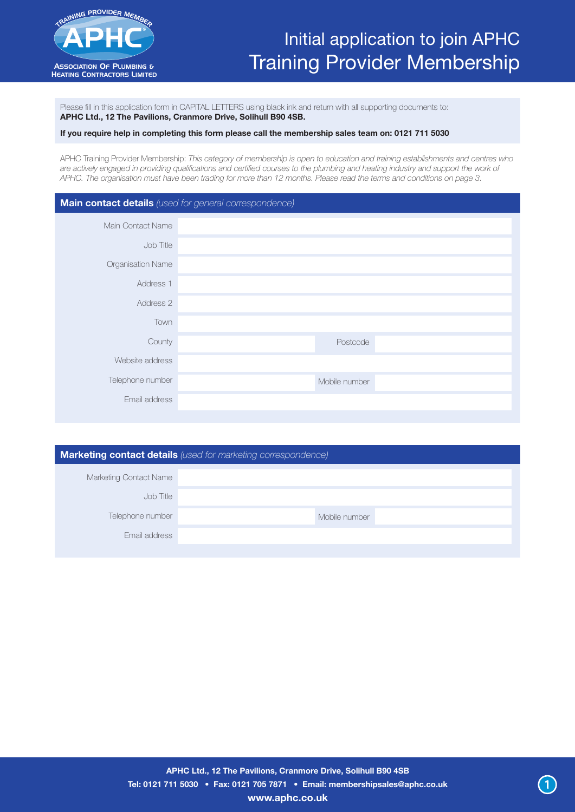

### Initial application to join APHC Training Provider Membership

Please fill in this application form in CAPITAL LETTERS using black ink and return with all supporting documents to: APHC Ltd., 12 The Pavilions, Cranmore Drive, Solihull B90 4SB.

#### If you require help in completing this form please call the membership sales team on: 0121 711 5030

APHC Training Provider Membership: *This category of membership is open to education and training establishments and centres who*  are actively engaged in providing qualifications and certified courses to the plumbing and heating industry and support the work of *APHC. The organisation must have been trading for more than 12 months. Please read the terms and conditions on page 3.*

#### Main contact details *(used for general correspondence)*

| Main Contact Name |               |
|-------------------|---------------|
| Job Title         |               |
| Organisation Name |               |
| Address 1         |               |
| Address 2         |               |
| Town              |               |
| County            | Postcode      |
| Website address   |               |
| Telephone number  | Mobile number |
| Email address     |               |
|                   |               |

| <b>Marketing contact details</b> (used for marketing correspondence) |               |  |  |  |  |  |  |
|----------------------------------------------------------------------|---------------|--|--|--|--|--|--|
| Marketing Contact Name                                               |               |  |  |  |  |  |  |
| Job Title                                                            |               |  |  |  |  |  |  |
| Telephone number                                                     | Mobile number |  |  |  |  |  |  |
| Fmail address                                                        |               |  |  |  |  |  |  |
|                                                                      |               |  |  |  |  |  |  |

1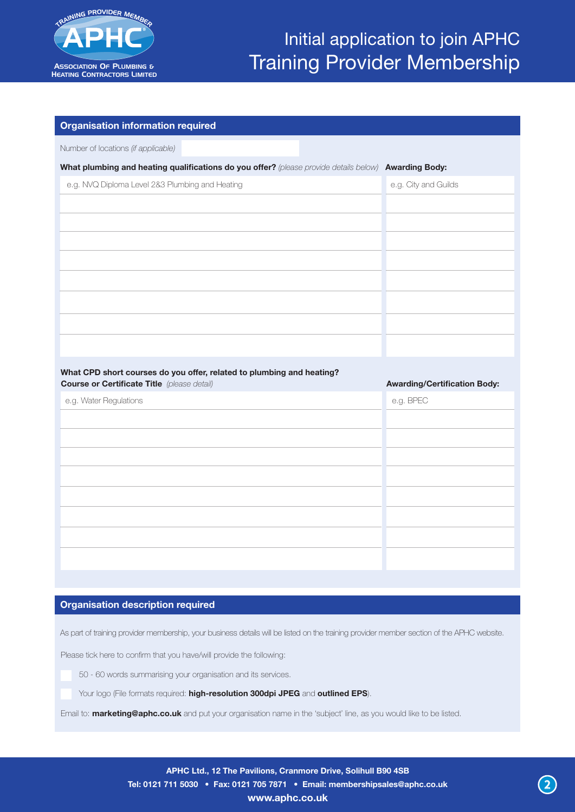

| <b>Organisation information required</b>                                                             |                                     |
|------------------------------------------------------------------------------------------------------|-------------------------------------|
| Number of locations (if applicable)                                                                  |                                     |
| What plumbing and heating qualifications do you offer? (please provide details below) Awarding Body: |                                     |
| e.g. NVQ Diploma Level 2&3 Plumbing and Heating                                                      | e.g. City and Guilds                |
|                                                                                                      |                                     |
|                                                                                                      |                                     |
|                                                                                                      |                                     |
|                                                                                                      |                                     |
|                                                                                                      |                                     |
|                                                                                                      |                                     |
|                                                                                                      |                                     |
|                                                                                                      |                                     |
|                                                                                                      |                                     |
|                                                                                                      |                                     |
| What CPD short courses do you offer, related to plumbing and heating?                                |                                     |
| <b>Course or Certificate Title</b> (please detail)                                                   | <b>Awarding/Certification Body:</b> |
| e.g. Water Regulations                                                                               | e.g. BPEC                           |
|                                                                                                      |                                     |
|                                                                                                      |                                     |
|                                                                                                      |                                     |
|                                                                                                      |                                     |
|                                                                                                      |                                     |
|                                                                                                      |                                     |
|                                                                                                      |                                     |
|                                                                                                      |                                     |

### **Organisation description required**

As part of training provider membership, your business details will be listed on the training provider member section of the APHC website.

Please tick here to confirm that you have/will provide the following:

50 - 60 words summarising your organisation and its services.

Your logo (File formats required: high-resolution 300dpi JPEG and outlined EPS).

Email to: **marketing@aphc.co.uk** and put your organisation name in the 'subject' line, as you would like to be listed.